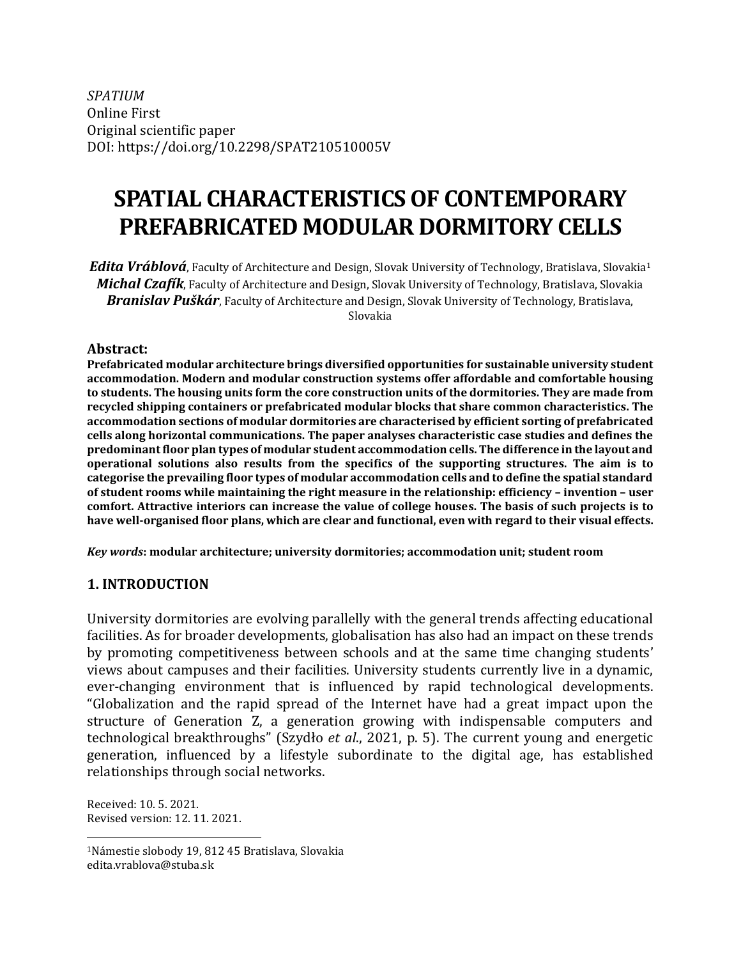*SPATIUM* Online First Original scientific paper DOI: https://doi.org/10.2298/SPAT210510005V

# **SPATIAL CHARACTERISTICS OF CONTEMPORARY PREFABRICATED MODULAR DORMITORY CELLS**

*Edita Vráblová*, Faculty of Architecture and Design, Slovak University of Technology, Bratislava, Slovakia<sup>1</sup> *Michal Czafík*, Faculty of Architecture and Design, Slovak University of Technology, Bratislava, Slovakia *Branislav Puškár*, Faculty of Architecture and Design, Slovak University of Technology, Bratislava, Slovakia

#### **Abstract:**

**Prefabricated modular architecture brings diversified opportunities for sustainable university student accommodation. Modern and modular construction systems offer affordable and comfortable housing to students. The housing units form the core construction units of the dormitories. They are made from recycled shipping containers or prefabricated modular blocks that share common characteristics. The accommodation sections of modular dormitories are characterised by efficient sorting of prefabricated cells along horizontal communications. The paper analyses characteristic case studies and defines the predominant floor plan types of modular student accommodation cells. The difference in the layout and operational solutions also results from the specifics of the supporting structures. The aim is to categorise the prevailing floor types of modular accommodation cells and to define the spatial standard of student rooms while maintaining the right measure in the relationship: efficiency – invention – user comfort. Attractive interiors can increase the value of college houses. The basis of such projects is to have well-organised floor plans, which are clear and functional, even with regard to their visual effects.**

*Key words***: modular architecture; university dormitories; accommodation unit; student room**

#### **1. INTRODUCTION**

University dormitories are evolving parallelly with the general trends affecting educational facilities. As for broader developments, globalisation has also had an impact on these trends by promoting competitiveness between schools and at the same time changing students' views about campuses and their facilities. University students currently live in a dynamic, ever-changing environment that is influenced by rapid technological developments. "Globalization and the rapid spread of the Internet have had a great impact upon the structure of Generation Z, a generation growing with indispensable computers and technological breakthroughs" (Szydło *et al*., 2021, p. 5). The current young and energetic generation, influenced by a lifestyle subordinate to the digital age, has established relationships through social networks.

Received: 10. 5. 2021. Revised version: 12. 11. 2021.

<sup>1</sup>Námestie slobody 19, 812 45 Bratislava, Slovakia [edita.vrablova@stuba.sk](mailto:edita.vrablova@stuba.sk)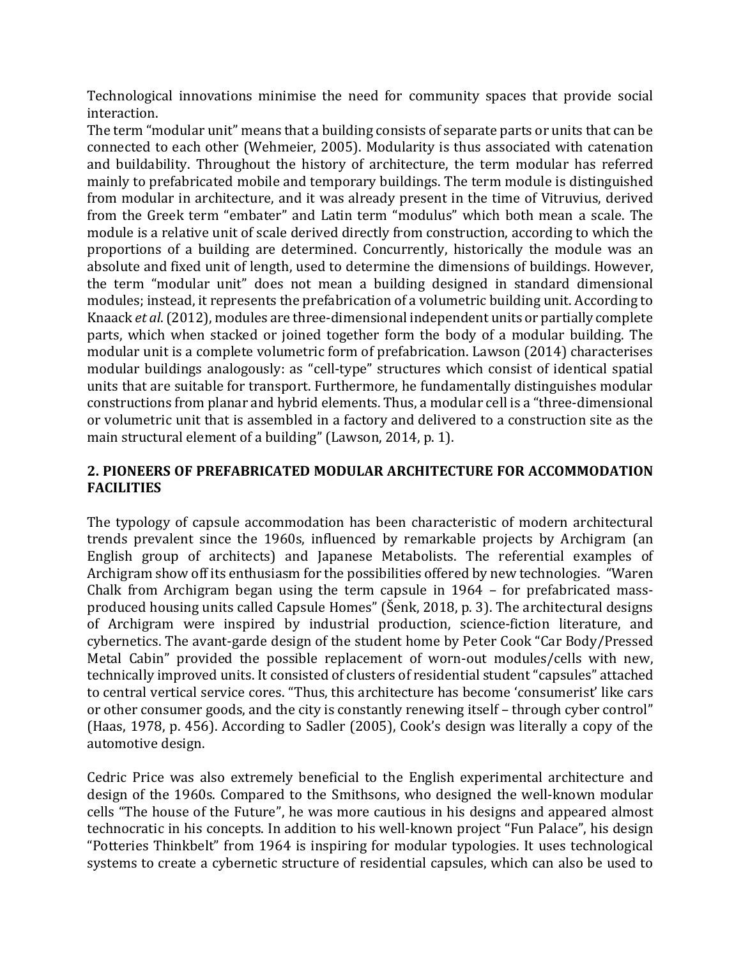Technological innovations minimise the need for community spaces that provide social interaction.

The term "modular unit" means that a building consists of separate parts or units that can be connected to each other (Wehmeier, 2005). Modularity is thus associated with catenation and buildability. Throughout the history of architecture, the term modular has referred mainly to prefabricated mobile and temporary buildings. The term module is distinguished from modular in architecture, and it was already present in the time of Vitruvius, derived from the Greek term "embater" and Latin term "modulus" which both mean a scale. The module is a relative unit of scale derived directly from construction, according to which the proportions of a building are determined. Concurrently, historically the module was an absolute and fixed unit of length, used to determine the dimensions of buildings. However, the term "modular unit" does not mean a building designed in standard dimensional modules; instead, it represents the prefabrication of a volumetric building unit. According to Knaack *et al*. (2012), modules are three-dimensional independent units or partially complete parts, which when stacked or joined together form the body of a modular building. The modular unit is a complete volumetric form of prefabrication. Lawson (2014) characterises modular buildings analogously: as "cell-type" structures which consist of identical spatial units that are suitable for transport. Furthermore, he fundamentally distinguishes modular constructions from planar and hybrid elements. Thus, a modular cell is a "three-dimensional or volumetric unit that is assembled in a factory and delivered to a construction site as the main structural element of a building" (Lawson, 2014, p. 1).

# **2. PIONEERS OF PREFABRICATED MODULAR ARCHITECTURE FOR ACCOMMODATION FACILITIES**

The typology of capsule accommodation has been characteristic of modern architectural trends prevalent since the 1960s, influenced by remarkable projects by Archigram (an English group of architects) and Japanese Metabolists. The referential examples of Archigram show off its enthusiasm for the possibilities offered by new technologies. "Waren Chalk from Archigram began using the term capsule in 1964 – for prefabricated massproduced housing units called Capsule Homes" (Šenk, 2018, p. 3). The architectural designs of Archigram were inspired by industrial production, science-fiction literature, and cybernetics. The avant-garde design of the student home by Peter Cook "Car Body/Pressed Metal Cabin" provided the possible replacement of worn-out modules/cells with new, technically improved units. It consisted of clusters of residential student "capsules" attached to central vertical service cores. "Thus, this architecture has become 'consumerist' like cars or other consumer goods, and the city is constantly renewing itself – through cyber control" (Haas, 1978, p. 456). According to Sadler (2005), Cook's design was literally a copy of the automotive design.

Cedric Price was also extremely beneficial to the English experimental architecture and design of the 1960s. Compared to the Smithsons, who designed the well-known modular cells "The house of the Future", he was more cautious in his designs and appeared almost technocratic in his concepts. In addition to his well-known project "Fun Palace", his design "Potteries Thinkbelt" from 1964 is inspiring for modular typologies. It uses technological systems to create a cybernetic structure of residential capsules, which can also be used to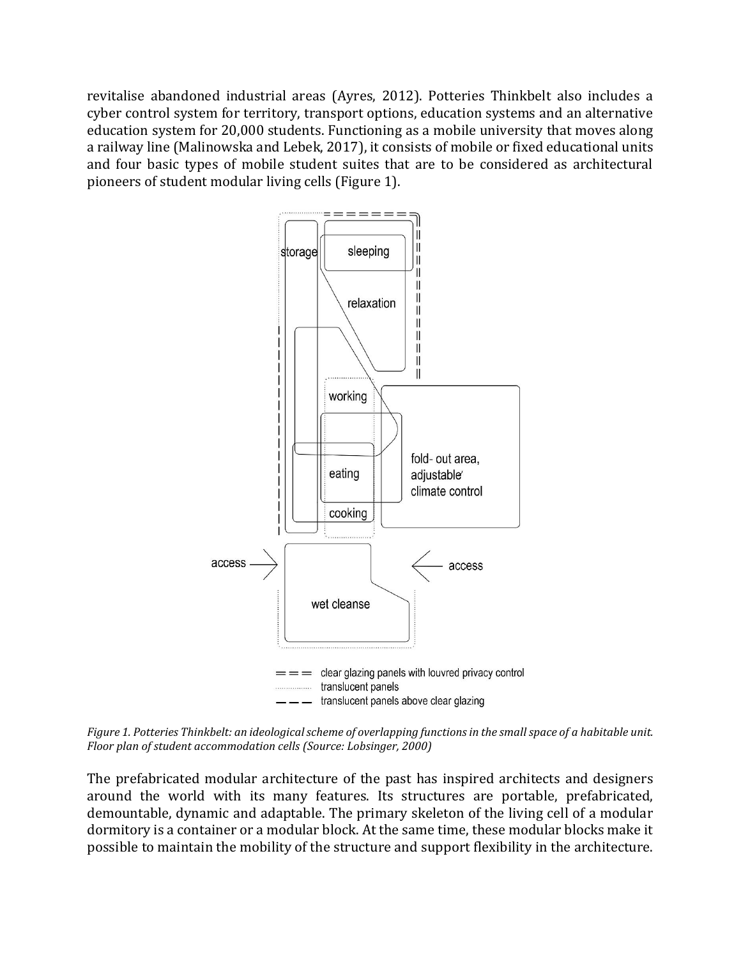revitalise abandoned industrial areas (Ayres, 2012). Potteries Thinkbelt also includes a cyber control system for territory, transport options, education systems and an alternative education system for 20,000 students. Functioning as a mobile university that moves along a railway line (Malinowska and Lebek, 2017), it consists of mobile or fixed educational units and four basic types of mobile student suites that are to be considered as architectural pioneers of student modular living cells (Figure 1).



*Figure 1. Potteries Thinkbelt: an ideological scheme of overlapping functions in the small space of a habitable unit. Floor plan of student accommodation cells (Source: Lobsinger, 2000)*

The prefabricated modular architecture of the past has inspired architects and designers around the world with its many features. Its structures are portable, prefabricated, demountable, dynamic and adaptable. The primary skeleton of the living cell of a modular dormitory is a container or a modular block. At the same time, these modular blocks make it possible to maintain the mobility of the structure and support flexibility in the architecture.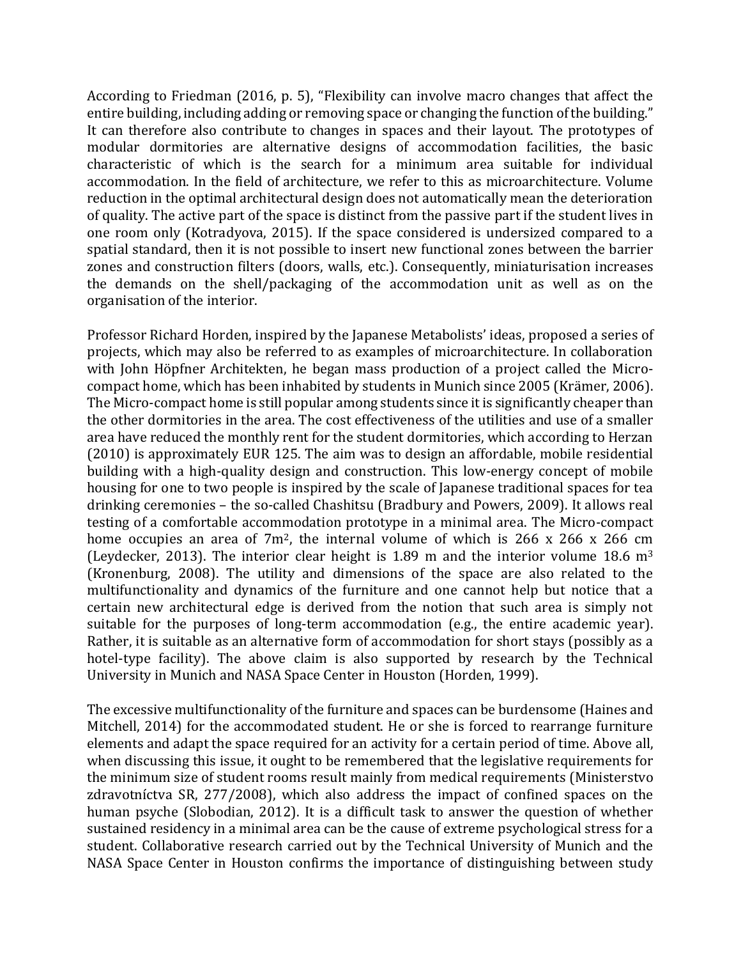According to Friedman (2016, p. 5), "Flexibility can involve macro changes that affect the entire building, including adding or removing space or changing the function of the building." It can therefore also contribute to changes in spaces and their layout. The prototypes of modular dormitories are alternative designs of accommodation facilities, the basic characteristic of which is the search for a minimum area suitable for individual accommodation. In the field of architecture, we refer to this as microarchitecture. Volume reduction in the optimal architectural design does not automatically mean the deterioration of quality. The active part of the space is distinct from the passive part if the student lives in one room only (Kotradyova, 2015). If the space considered is undersized compared to a spatial standard, then it is not possible to insert new functional zones between the barrier zones and construction filters (doors, walls, etc.). Consequently, miniaturisation increases the demands on the shell/packaging of the accommodation unit as well as on the organisation of the interior.

Professor Richard Horden, inspired by the Japanese Metabolists' ideas, proposed a series of projects, which may also be referred to as examples of microarchitecture. In collaboration with John Höpfner Architekten, he began mass production of a project called the Microcompact home, which has been inhabited by students in Munich since 2005 (Krämer, 2006). The Micro-compact home is still popular among students since it is significantly cheaper than the other dormitories in the area. The cost effectiveness of the utilities and use of a smaller area have reduced the monthly rent for the student dormitories, which according to Herzan (2010) is approximately EUR 125. The aim was to design an affordable, mobile residential building with a high-quality design and construction. This low-energy concept of mobile housing for one to two people is inspired by the scale of Japanese traditional spaces for tea drinking ceremonies – the so-called Chashitsu (Bradbury and Powers, 2009). It allows real testing of a comfortable accommodation prototype in a minimal area. The Micro-compact home occupies an area of 7m<sup>2</sup>, the internal volume of which is 266 x 266 x 266 cm (Leydecker, 2013). The interior clear height is 1.89 m and the interior volume 18.6  $m<sup>3</sup>$ (Kronenburg, 2008). The utility and dimensions of the space are also related to the multifunctionality and dynamics of the furniture and one cannot help but notice that a certain new architectural edge is derived from the notion that such area is simply not suitable for the purposes of long-term accommodation (e.g., the entire academic year). Rather, it is suitable as an alternative form of accommodation for short stays (possibly as a hotel-type facility). The above claim is also supported by research by the Technical University in Munich and NASA Space Center in Houston (Horden, 1999).

The excessive multifunctionality of the furniture and spaces can be burdensome (Haines and Mitchell, 2014) for the accommodated student. He or she is forced to rearrange furniture elements and adapt the space required for an activity for a certain period of time. Above all, when discussing this issue, it ought to be remembered that the legislative requirements for the minimum size of student rooms result mainly from medical requirements (Ministerstvo zdravotníctva SR, 277/2008), which also address the impact of confined spaces on the human psyche (Slobodian, 2012). It is a difficult task to answer the question of whether sustained residency in a minimal area can be the cause of extreme psychological stress for a student. Collaborative research carried out by the Technical University of Munich and the NASA Space Center in Houston confirms the importance of distinguishing between study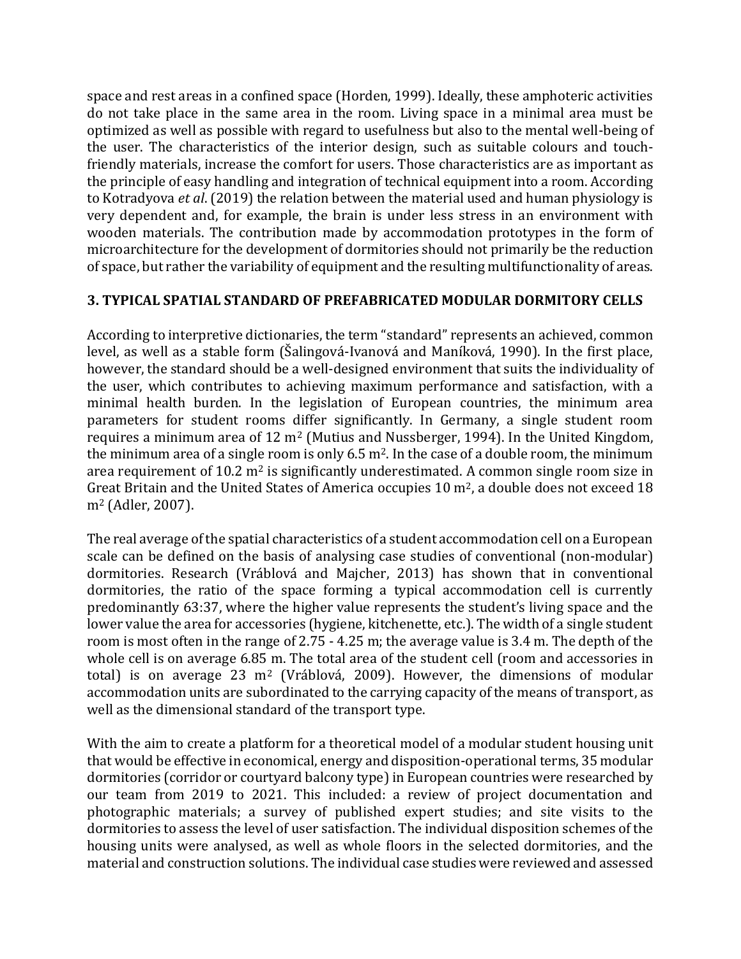space and rest areas in a confined space (Horden, 1999). Ideally, these amphoteric activities do not take place in the same area in the room. Living space in a minimal area must be optimized as well as possible with regard to usefulness but also to the mental well-being of the user. The characteristics of the interior design, such as suitable colours and touchfriendly materials, increase the comfort for users. Those characteristics are as important as the principle of easy handling and integration of technical equipment into a room. According to Kotradyova *et al*. (2019) the relation between the material used and human physiology is very dependent and, for example, the brain is under less stress in an environment with wooden materials. The contribution made by accommodation prototypes in the form of microarchitecture for the development of dormitories should not primarily be the reduction of space, but rather the variability of equipment and the resulting multifunctionality of areas.

#### **3. TYPICAL SPATIAL STANDARD OF PREFABRICATED MODULAR DORMITORY CELLS**

According to interpretive dictionaries, the term "standard" represents an achieved, common level, as well as a stable form (Šalingová-Ivanová and Maníková, 1990). In the first place, however, the standard should be a well-designed environment that suits the individuality of the user, which contributes to achieving maximum performance and satisfaction, with a minimal health burden. In the legislation of European countries, the minimum area parameters for student rooms differ significantly. In Germany, a single student room requires a minimum area of 12 m<sup>2</sup> (Mutius and Nussberger, 1994). In the United Kingdom, the minimum area of a single room is only  $6.5$  m<sup>2</sup>. In the case of a double room, the minimum area requirement of 10.2  $m^2$  is significantly underestimated. A common single room size in Great Britain and the United States of America occupies 10 m<sup>2</sup>, a double does not exceed 18 m<sup>2</sup> (Adler, 2007).

The real average of the spatial characteristics of a student accommodation cell on a European scale can be defined on the basis of analysing case studies of conventional (non-modular) dormitories. Research (Vráblová and Majcher, 2013) has shown that in conventional dormitories, the ratio of the space forming a typical accommodation cell is currently predominantly 63:37, where the higher value represents the student's living space and the lower value the area for accessories (hygiene, kitchenette, etc.). The width of a single student room is most often in the range of 2.75 - 4.25 m; the average value is 3.4 m. The depth of the whole cell is on average 6.85 m. The total area of the student cell (room and accessories in total) is on average 23  $m<sup>2</sup>$  (Vráblová, 2009). However, the dimensions of modular accommodation units are subordinated to the carrying capacity of the means of transport, as well as the dimensional standard of the transport type.

With the aim to create a platform for a theoretical model of a modular student housing unit that would be effective in economical, energy and disposition-operational terms, 35 modular dormitories (corridor or courtyard balcony type) in European countries were researched by our team from 2019 to 2021. This included: a review of project documentation and photographic materials; a survey of published expert studies; and site visits to the dormitories to assess the level of user satisfaction. The individual disposition schemes of the housing units were analysed, as well as whole floors in the selected dormitories, and the material and construction solutions. The individual case studies were reviewed and assessed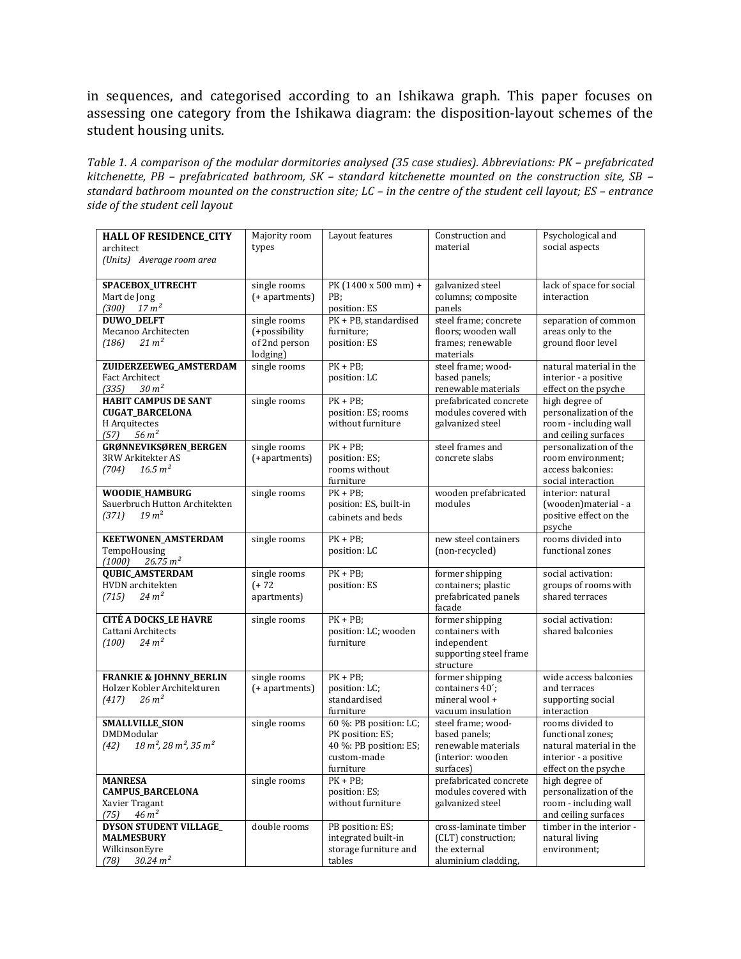in sequences, and categorised according to an Ishikawa graph. This paper focuses on assessing one category from the Ishikawa diagram: the disposition-layout schemes of the student housing units.

*Table 1. A comparison of the modular dormitories analysed (35 case studies). Abbreviations: PK – prefabricated kitchenette, PB – prefabricated bathroom, SK – standard kitchenette mounted on the construction site, SB – standard bathroom mounted on the construction site; LC – in the centre of the student cell layout; ES – entrance side of the student cell layout*

| <b>HALL OF RESIDENCE_CITY</b><br>architect          | Majority room<br>types    | Layout features                     | Construction and<br>material                   | Psychological and<br>social aspects           |
|-----------------------------------------------------|---------------------------|-------------------------------------|------------------------------------------------|-----------------------------------------------|
| (Units) Average room area                           |                           |                                     |                                                |                                               |
| SPACEBOX_UTRECHT                                    | single rooms              | PK $(1400 \times 500 \text{ mm}) +$ | galvanized steel                               | lack of space for social                      |
| Mart de Jong<br>$(300)$ $17 m2$                     | (+ apartments)            | PB;<br>position: ES                 | columns; composite<br>panels                   | interaction                                   |
| <b>DUWO_DELFT</b>                                   | single rooms              | PK + PB, standardised               | steel frame; concrete                          | separation of common                          |
| Mecanoo Architecten                                 | (+possibility             | furniture;                          | floors; wooden wall                            | areas only to the                             |
| $21 \text{ m}^2$<br>(186)                           | of 2nd person<br>lodging) | position: ES                        | frames; renewable<br>materials                 | ground floor level                            |
| <b>ZUIDERZEEWEG AMSTERDAM</b>                       | single rooms              | $PK + PB$                           | steel frame; wood-                             | natural material in the                       |
| <b>Fact Architect</b><br>30 m <sup>2</sup><br>(335) |                           | position: LC                        | based panels;<br>renewable materials           | interior - a positive<br>effect on the psyche |
| <b>HABIT CAMPUS DE SANT</b>                         | single rooms              | $PK + PB$ ;                         | prefabricated concrete                         | high degree of                                |
| <b>CUGAT_BARCELONA</b>                              |                           | position: ES; rooms                 | modules covered with                           | personalization of the                        |
| H Arquitectes                                       |                           | without furniture                   | galvanized steel                               | room - including wall                         |
| $56 \, m^2$<br>(57)                                 |                           |                                     |                                                | and ceiling surfaces                          |
| GRØNNEVIKSØREN_BERGEN<br>3RW Arkitekter AS          | single rooms              | $PK + PB$<br>position: ES;          | steel frames and<br>concrete slabs             | personalization of the<br>room environment;   |
| 16.5 m <sup>2</sup><br>(704)                        | (+apartments)             | rooms without                       |                                                | access balconies:                             |
|                                                     |                           | furniture                           |                                                | social interaction                            |
| WOODIE_HAMBURG                                      | single rooms              | $PK + PB$                           | wooden prefabricated                           | interior: natural                             |
| Sauerbruch Hutton Architekten                       |                           | position: ES, built-in              | modules                                        | (wooden) material - a                         |
| $19 \text{ m}^2$<br>(371)                           |                           | cabinets and beds                   |                                                | positive effect on the                        |
| <b>KEETWONEN_AMSTERDAM</b>                          | single rooms              | $PK + PB$                           | new steel containers                           | psyche<br>rooms divided into                  |
| TempoHousing                                        |                           | position: LC                        | (non-recycled)                                 | functional zones                              |
| 26.75 m <sup>2</sup><br>(1000)                      |                           |                                     |                                                |                                               |
| <b>QUBIC_AMSTERDAM</b>                              | single rooms              | $PK + PB$ ;                         | former shipping                                | social activation:                            |
| HVDN architekten                                    | $(+ 72)$                  | position: ES                        | containers; plastic                            | groups of rooms with                          |
| $24 \text{ m}^2$<br>(715)                           | apartments)               |                                     | prefabricated panels<br>facade                 | shared terraces                               |
| <b>CITÉ A DOCKS_LE HAVRE</b>                        | single rooms              | $PK + PB$                           | former shipping                                | social activation:                            |
| Cattani Architects<br>$24 \text{ m}^2$<br>(100)     |                           | position: LC; wooden<br>furniture   | containers with<br>independent                 | shared balconies                              |
|                                                     |                           |                                     | supporting steel frame                         |                                               |
|                                                     |                           |                                     | structure                                      |                                               |
| <b>FRANKIE &amp; JOHNNY_BERLIN</b>                  | single rooms              | $PK + PB$                           | former shipping                                | wide access balconies                         |
| Holzer Kobler Architekturen                         | (+ apartments)            | position: LC;                       | containers 40 <sup>'</sup> ;                   | and terraces                                  |
| $26 \text{ m}^2$<br>(417)                           |                           | standardised<br>furniture           | mineral wool+<br>vacuum insulation             | supporting social<br>interaction              |
| <b>SMALLVILLE_SION</b>                              | single rooms              | 60 %: PB position: LC;              | steel frame; wood-                             | rooms divided to                              |
| <b>DMDModular</b>                                   |                           | PK position: ES;                    | based panels;                                  | functional zones;                             |
| $18 m^2$ , $28 m^2$ , $35 m^2$<br>(42)              |                           | 40 %: PB position: ES;              | renewable materials                            | natural material in the                       |
|                                                     |                           | custom-made                         | (interior: wooden                              | interior - a positive                         |
|                                                     |                           | furniture                           | surfaces)                                      | effect on the psyche                          |
| <b>MANRESA</b><br><b>CAMPUS_BARCELONA</b>           | single rooms              | $PK + PB$ ;<br>position: ES;        | prefabricated concrete<br>modules covered with | high degree of<br>personalization of the      |
| Xavier Tragant                                      |                           | without furniture                   | galvanized steel                               | room - including wall                         |
| 46 m <sup>2</sup><br>(75)                           |                           |                                     |                                                | and ceiling surfaces                          |
| <b>DYSON STUDENT VILLAGE_</b>                       | double rooms              | PB position: ES;                    | cross-laminate timber                          | timber in the interior -                      |
| <b>MALMESBURY</b>                                   |                           | integrated built-in                 | (CLT) construction;                            | natural living                                |
| WilkinsonEyre                                       |                           | storage furniture and               | the external                                   | environment;                                  |
| $30.24\ m^2$<br>(78)                                |                           | tables                              | aluminium cladding,                            |                                               |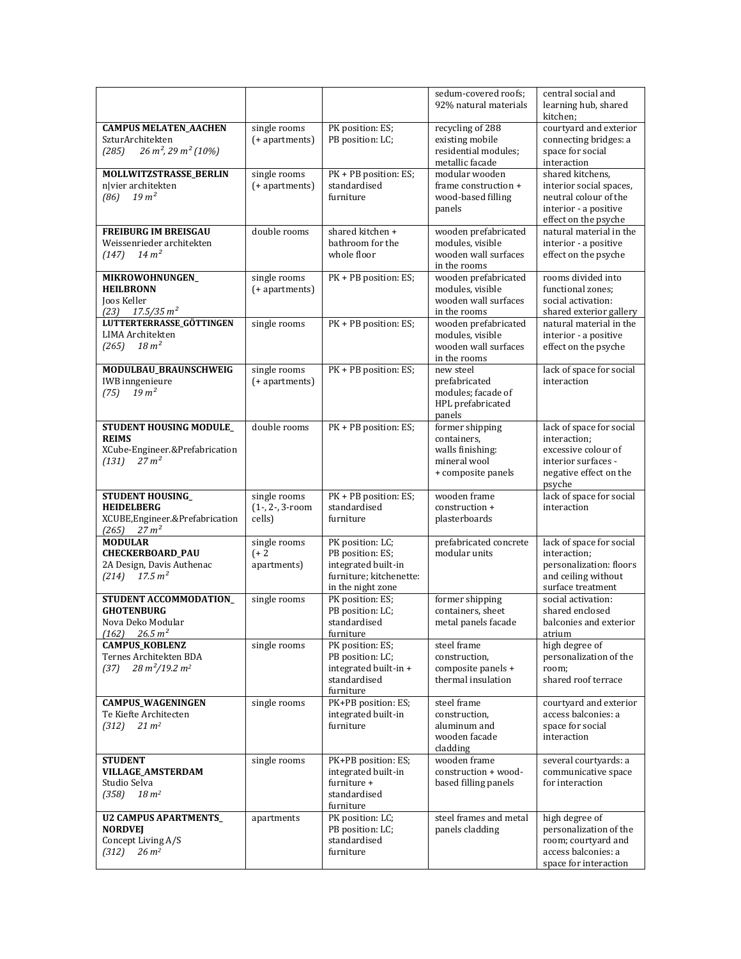|                                                                                                        |                                              |                                                                                                             | sedum-covered roofs;<br>92% natural materials                                            | central social and<br>learning hub, shared<br>kitchen;                                                                     |
|--------------------------------------------------------------------------------------------------------|----------------------------------------------|-------------------------------------------------------------------------------------------------------------|------------------------------------------------------------------------------------------|----------------------------------------------------------------------------------------------------------------------------|
| <b>CAMPUS MELATEN_AACHEN</b><br>SzturArchitekten<br>$26 m2, 29 m2 (10%)$<br>(285)                      | single rooms<br>(+ apartments)               | PK position: ES;<br>PB position: LC;                                                                        | recycling of 288<br>existing mobile<br>residential modules;<br>metallic facade           | courtyard and exterior<br>connecting bridges: a<br>space for social<br>interaction                                         |
| MOLLWITZSTRASSE_BERLIN<br>n vier architekten<br>19 m <sup>2</sup><br>(86)                              | single rooms<br>(+ apartments)               | PK + PB position: ES;<br>standardised<br>furniture                                                          | modular wooden<br>frame construction +<br>wood-based filling<br>panels                   | shared kitchens,<br>interior social spaces,<br>neutral colour of the<br>interior - a positive<br>effect on the psyche      |
| <b>FREIBURG IM BREISGAU</b><br>Weissenrieder architekten<br>$14 \text{ m}^2$<br>(147)                  | double rooms                                 | shared kitchen +<br>bathroom for the<br>whole floor                                                         | wooden prefabricated<br>modules, visible<br>wooden wall surfaces<br>in the rooms         | natural material in the<br>interior - a positive<br>effect on the psyche                                                   |
| MIKROWOHNUNGEN_<br><b>HEILBRONN</b><br>Joos Keller<br>17.5/35 m <sup>2</sup><br>(23)                   | single rooms<br>(+ apartments)               | PK + PB position: ES;                                                                                       | wooden prefabricated<br>modules, visible<br>wooden wall surfaces<br>in the rooms         | rooms divided into<br>functional zones;<br>social activation:<br>shared exterior gallery                                   |
| LUTTERTERRASSE_GÖTTINGEN<br>LIMA Architekten<br>$18 \text{ m}^2$<br>(265)                              | single rooms                                 | PK + PB position: ES;                                                                                       | wooden prefabricated<br>modules, visible<br>wooden wall surfaces<br>in the rooms         | natural material in the<br>interior - a positive<br>effect on the psyche                                                   |
| MODULBAU_BRAUNSCHWEIG<br><b>IWB</b> inngenieure<br>19 m <sup>2</sup><br>(75)                           | single rooms<br>(+ apartments)               | PK + PB position: ES;                                                                                       | new steel<br>prefabricated<br>modules: facade of<br>HPL prefabricated<br>panels          | lack of space for social<br>interaction                                                                                    |
| STUDENT HOUSING MODULE_<br><b>REIMS</b><br>XCube-Engineer.&Prefabrication<br>$27 \text{ m}^2$<br>(131) | double rooms                                 | PK + PB position: ES;                                                                                       | former shipping<br>containers,<br>walls finishing:<br>mineral wool<br>+ composite panels | lack of space for social<br>interaction;<br>excessive colour of<br>interior surfaces -<br>negative effect on the<br>psyche |
| <b>STUDENT HOUSING_</b><br><b>HEIDELBERG</b><br>XCUBE, Engineer.& Prefabrication<br>$(265)$ $27 m2$    | single rooms<br>$(1-, 2-, 3$ -room<br>cells) | PK + PB position: ES;<br>standardised<br>furniture                                                          | wooden frame<br>construction +<br>plasterboards                                          | lack of space for social<br>interaction                                                                                    |
| <b>MODULAR</b><br><b>CHECKERBOARD_PAU</b><br>2A Design, Davis Authenac<br>17.5 m <sup>2</sup><br>(214) | single rooms<br>$(+ 2)$<br>apartments)       | PK position: LC;<br>PB position: ES;<br>integrated built-in<br>furniture; kitchenette:<br>in the night zone | prefabricated concrete<br>modular units                                                  | lack of space for social<br>interaction;<br>personalization: floors<br>and ceiling without<br>surface treatment            |
| STUDENT ACCOMMODATION<br><b>GHOTENBURG</b><br>Nova Deko Modular<br>(162)<br>26.5 m <sup>2</sup>        | single rooms                                 | PK position: ES;<br>PB position: LC;<br>standardised<br>furniture                                           | former shipping<br>containers, sheet<br>metal panels facade                              | social activation:<br>shared enclosed<br>balconies and exterior<br>atrium                                                  |
| CAMPUS_KOBLENZ<br>Ternes Architekten BDA<br>$28 \,\mathrm{m}^2/19.2 \,\mathrm{m}^2$<br>(37)            | single rooms                                 | PK position: ES;<br>PB position: LC;<br>integrated built-in +<br>standardised<br>furniture                  | steel frame<br>construction,<br>composite panels +<br>thermal insulation                 | high degree of<br>personalization of the<br>room;<br>shared roof terrace                                                   |
| <b>CAMPUS_WAGENINGEN</b><br>Te Kiefte Architecten<br>$21 \, m2$<br>(312)                               | single rooms                                 | PK+PB position: ES;<br>integrated built-in<br>furniture                                                     | steel frame<br>construction,<br>aluminum and<br>wooden facade<br>cladding                | courtyard and exterior<br>access balconies: a<br>space for social<br>interaction                                           |
| <b>STUDENT</b><br><b>VILLAGE_AMSTERDAM</b><br>Studio Selva<br>(358)<br>$18 \, m2$                      | single rooms                                 | PK+PB position: ES;<br>integrated built-in<br>furniture +<br>standardised<br>furniture                      | wooden frame<br>construction + wood-<br>based filling panels                             | several courtyards: a<br>communicative space<br>for interaction                                                            |
| <b>U2 CAMPUS APARTMENTS</b><br><b>NORDVEJ</b><br>Concept Living A/S<br>$26 \, m2$<br>(312)             | apartments                                   | PK position: LC;<br>PB position: LC;<br>standardised<br>furniture                                           | steel frames and metal<br>panels cladding                                                | high degree of<br>personalization of the<br>room; courtyard and<br>access balconies: a<br>space for interaction            |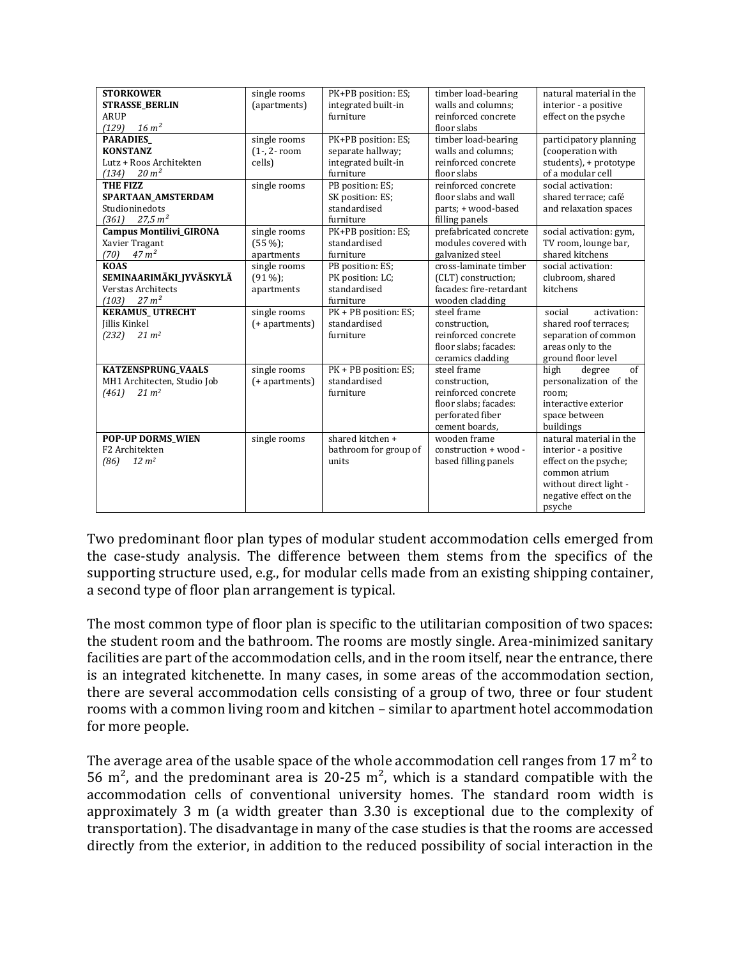| <b>STORKOWER</b>               | single rooms      | PK+PB position: ES;   | timber load-bearing     | natural material in the |
|--------------------------------|-------------------|-----------------------|-------------------------|-------------------------|
| <b>STRASSE_BERLIN</b>          | (apartments)      | integrated built-in   | walls and columns;      | interior - a positive   |
| <b>ARUP</b>                    |                   | furniture             | reinforced concrete     | effect on the psyche    |
| $16 \, \text{m}^2$<br>(129)    |                   |                       | floor slabs             |                         |
| <b>PARADIES</b>                | single rooms      | PK+PB position: ES;   | timber load-bearing     | participatory planning  |
| <b>KONSTANZ</b>                | $(1 -, 2 - room)$ | separate hallway;     | walls and columns;      | (cooperation with       |
| Lutz + Roos Architekten        | cells)            | integrated built-in   | reinforced concrete     | students), + prototype  |
| $20 \, \text{m}^2$<br>(134)    |                   | furniture             | floor slabs             | of a modular cell       |
| <b>THE FIZZ</b>                | single rooms      | PB position: ES;      | reinforced concrete     | social activation:      |
| SPARTAAN AMSTERDAM             |                   | SK position: ES;      | floor slabs and wall    | shared terrace; café    |
| Studioninedots                 |                   | standardised          | parts; + wood-based     | and relaxation spaces   |
| 27.5 m <sup>2</sup><br>(361)   |                   | furniture             | filling panels          |                         |
| <b>Campus Montilivi_GIRONA</b> | single rooms      | PK+PB position: ES;   | prefabricated concrete  | social activation: gym, |
| Xavier Tragant                 | $(55\%)$ ;        | standardised          | modules covered with    | TV room, lounge bar,    |
| 47 m <sup>2</sup><br>(70)      | apartments        | furniture             | galvanized steel        | shared kitchens         |
| <b>KOAS</b>                    | single rooms      | PB position: ES;      | cross-laminate timber   | social activation:      |
| SEMINAARIMÄKI JYVÄSKYLÄ        | $(91\%)$          | PK position: LC;      | (CLT) construction;     | clubroom, shared        |
| Verstas Architects             | apartments        | standardised          | facades: fire-retardant | kitchens                |
| $27 \text{ m}^2$<br>(103)      |                   | furniture             | wooden cladding         |                         |
| <b>KERAMUS_UTRECHT</b>         | single rooms      | PK + PB position: ES; | steel frame             | social<br>activation:   |
| Jillis Kinkel                  | (+ apartments)    | standardised          | construction,           | shared roof terraces;   |
| (232)<br>$21 \, \text{m}^2$    |                   | furniture             | reinforced concrete     | separation of common    |
|                                |                   |                       | floor slabs; facades:   | areas only to the       |
|                                |                   |                       | ceramics cladding       | ground floor level      |
| <b>KATZENSPRUNG_VAALS</b>      | single rooms      | PK + PB position: ES; | steel frame             | high<br>of<br>degree    |
| MH1 Architecten, Studio Job    | (+ apartments)    | standardised          | construction,           | personalization of the  |
| $21 \, m2$<br>(461)            |                   | furniture             | reinforced concrete     | room;                   |
|                                |                   |                       | floor slabs; facades:   | interactive exterior    |
|                                |                   |                       | perforated fiber        | space between           |
|                                |                   |                       | cement boards,          | buildings               |
| <b>POP-UP DORMS_WIEN</b>       | single rooms      | shared kitchen +      | wooden frame            | natural material in the |
| F2 Architekten                 |                   | bathroom for group of | construction + wood -   | interior - a positive   |
| $12 \, m2$<br>(86)             |                   | units                 | based filling panels    | effect on the psyche;   |
|                                |                   |                       |                         | common atrium           |
|                                |                   |                       |                         | without direct light -  |
|                                |                   |                       |                         | negative effect on the  |
|                                |                   |                       |                         | psyche                  |
|                                |                   |                       |                         |                         |

Two predominant floor plan types of modular student accommodation cells emerged from the case-study analysis. The difference between them stems from the specifics of the supporting structure used, e.g., for modular cells made from an existing shipping container, a second type of floor plan arrangement is typical.

The most common type of floor plan is specific to the utilitarian composition of two spaces: the student room and the bathroom. The rooms are mostly single. Area-minimized sanitary facilities are part of the accommodation cells, and in the room itself, near the entrance, there is an integrated kitchenette. In many cases, in some areas of the accommodation section, there are several accommodation cells consisting of a group of two, three or four student rooms with a common living room and kitchen – similar to apartment hotel accommodation for more people.

The average area of the usable space of the whole accommodation cell ranges from  $17 \text{ m}^2$  to 56 m<sup>2</sup>, and the predominant area is 20-25 m<sup>2</sup>, which is a standard compatible with the accommodation cells of conventional university homes. The standard room width is approximately 3 m (a width greater than 3.30 is exceptional due to the complexity of transportation). The disadvantage in many of the case studies is that the rooms are accessed directly from the exterior, in addition to the reduced possibility of social interaction in the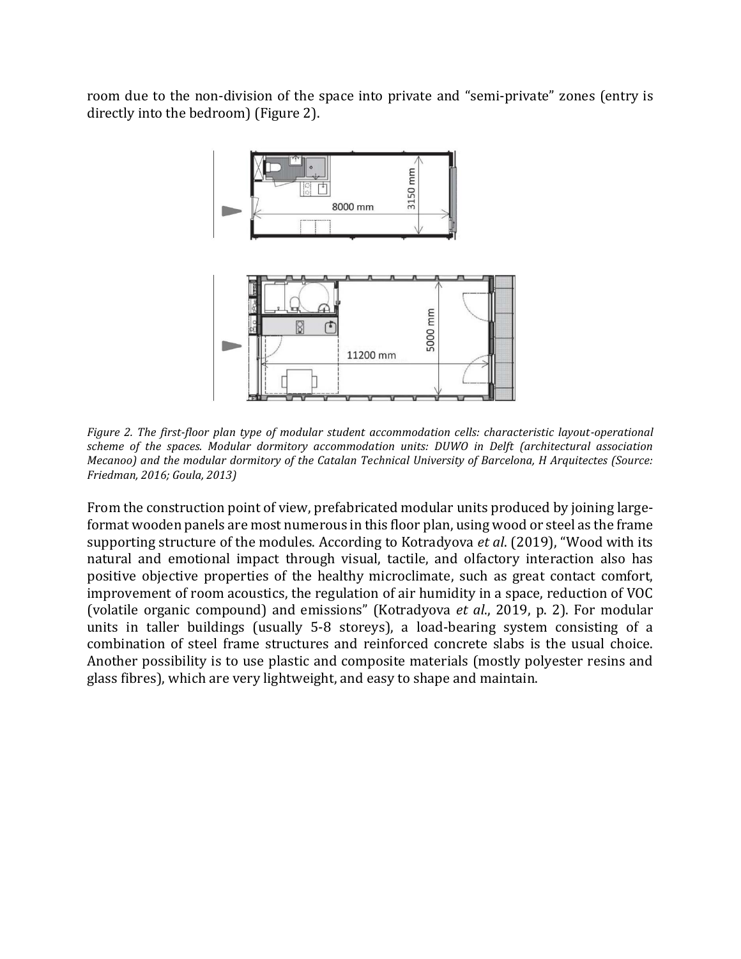room due to the non-division of the space into private and "semi-private" zones (entry is directly into the bedroom) (Figure 2).



*Figure 2. The first-floor plan type of modular student accommodation cells: characteristic layout-operational scheme of the spaces. Modular dormitory accommodation units: DUWO in Delft (architectural association Mecanoo) and the modular dormitory of the Catalan Technical University of Barcelona, H Arquitectes (Source: Friedman, 2016; Goula, 2013)* 

From the construction point of view, prefabricated modular units produced by joining largeformat wooden panels are most numerous in this floor plan, using wood or steel as the frame supporting structure of the modules. According to Kotradyova *et al*. (2019), "Wood with its natural and emotional impact through visual, tactile, and olfactory interaction also has positive objective properties of the healthy microclimate, such as great contact comfort, improvement of room acoustics, the regulation of air humidity in a space, reduction of VOC (volatile organic compound) and emissions" (Kotradyova *et al*., 2019, p. 2). For modular units in taller buildings (usually 5-8 storeys), a load-bearing system consisting of a combination of steel frame structures and reinforced concrete slabs is the usual choice. Another possibility is to use plastic and composite materials (mostly polyester resins and glass fibres), which are very lightweight, and easy to shape and maintain.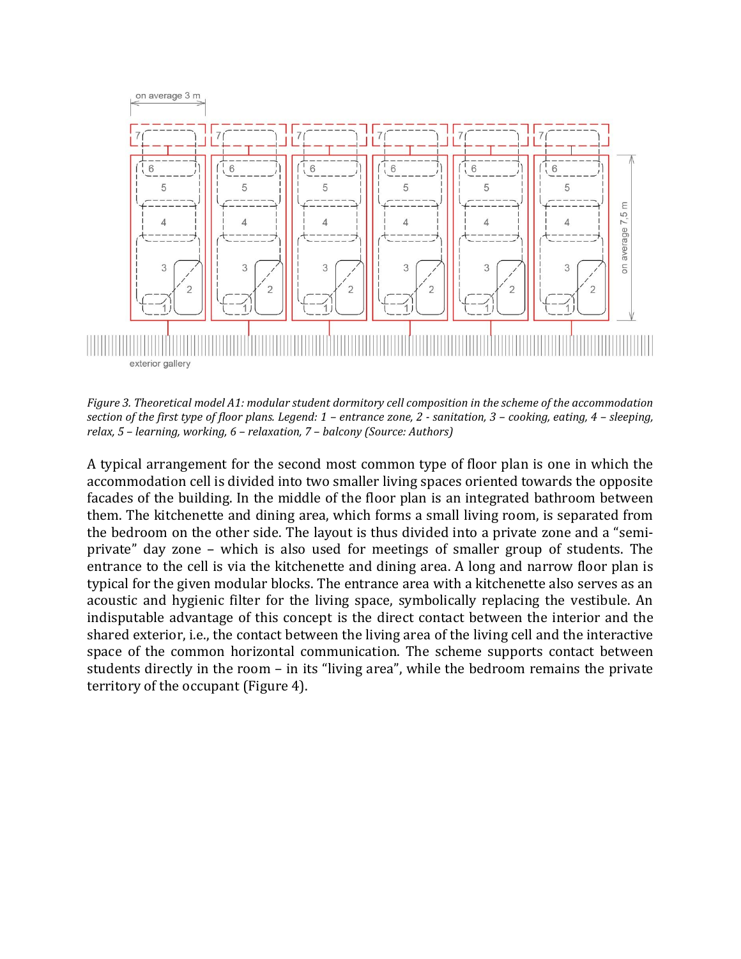

*Figure 3. Theoretical model A1: modular student dormitory cell composition in the scheme of the accommodation section of the first type of floor plans. Legend: 1 – entrance zone, 2 - sanitation, 3 – cooking, eating, 4 – sleeping, relax, 5 – learning, working, 6 – relaxation, 7 – balcony (Source: Authors)*

A typical arrangement for the second most common type of floor plan is one in which the accommodation cell is divided into two smaller living spaces oriented towards the opposite facades of the building. In the middle of the floor plan is an integrated bathroom between them. The kitchenette and dining area, which forms a small living room, is separated from the bedroom on the other side. The layout is thus divided into a private zone and a "semiprivate" day zone – which is also used for meetings of smaller group of students. The entrance to the cell is via the kitchenette and dining area. A long and narrow floor plan is typical for the given modular blocks. The entrance area with a kitchenette also serves as an acoustic and hygienic filter for the living space, symbolically replacing the vestibule. An indisputable advantage of this concept is the direct contact between the interior and the shared exterior, i.e., the contact between the living area of the living cell and the interactive space of the common horizontal communication. The scheme supports contact between students directly in the room – in its "living area", while the bedroom remains the private territory of the occupant (Figure 4).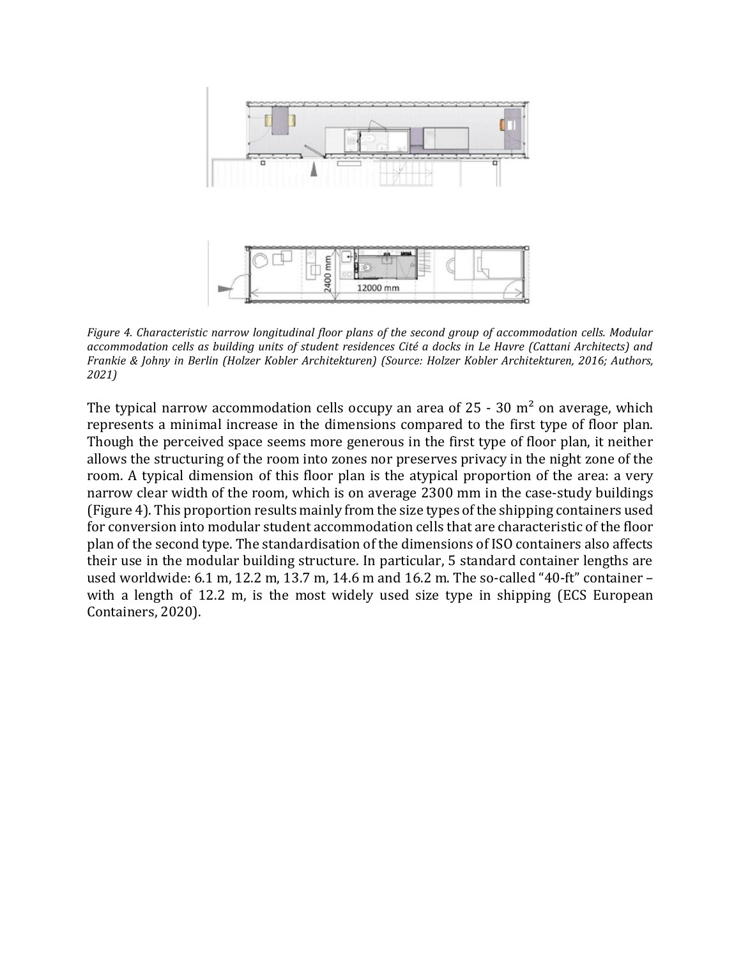

*Figure 4. Characteristic narrow longitudinal floor plans of the second group of accommodation cells. Modular accommodation cells as building units of student residences Cité a docks in Le Havre (Cattani Architects) and Frankie & Johny in Berlin (Holzer Kobler Architekturen) (Source: Holzer Kobler Architekturen, 2016; Authors, 2021)*

The typical narrow accommodation cells occupy an area of  $25 - 30$  m<sup>2</sup> on average, which represents a minimal increase in the dimensions compared to the first type of floor plan. Though the perceived space seems more generous in the first type of floor plan, it neither allows the structuring of the room into zones nor preserves privacy in the night zone of the room. A typical dimension of this floor plan is the atypical proportion of the area: a very narrow clear width of the room, which is on average 2300 mm in the case-study buildings (Figure 4). This proportion results mainly from the size types of the shipping containers used for conversion into modular student accommodation cells that are characteristic of the floor plan of the second type. The standardisation of the dimensions of ISO containers also affects their use in the modular building structure. In particular, 5 standard container lengths are used worldwide: 6.1 m, 12.2 m, 13.7 m, 14.6 m and 16.2 m. The so-called "40-ft" container – with a length of 12.2 m, is the most widely used size type in shipping (ECS European Containers, 2020).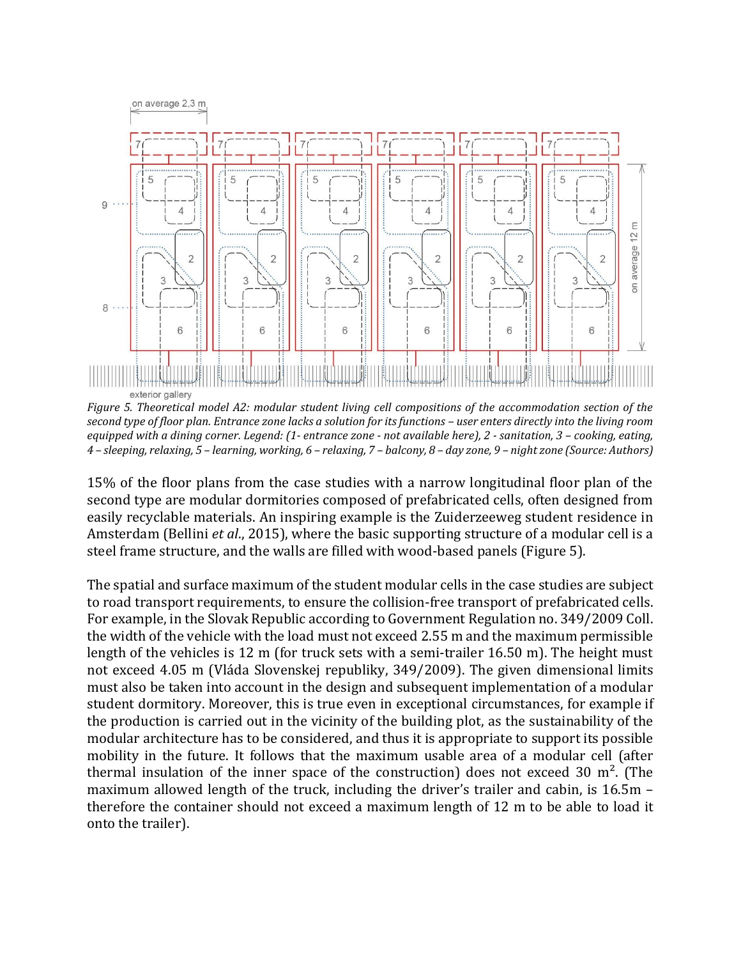

*Figure 5. Theoretical model A2: modular student living cell compositions of the accommodation section of the second type of floor plan. Entrance zone lacks a solution for its functions – user enters directly into the living room equipped with a dining corner. Legend: (1- entrance zone - not available here), 2 - sanitation, 3 – cooking, eating, 4 – sleeping, relaxing, 5 – learning, working, 6 – relaxing, 7 – balcony, 8 – day zone, 9 – night zone (Source: Authors)*

15% of the floor plans from the case studies with a narrow longitudinal floor plan of the second type are modular dormitories composed of prefabricated cells, often designed from easily recyclable materials. An inspiring example is the Zuiderzeeweg student residence in Amsterdam (Bellini *et al*., 2015), where the basic supporting structure of a modular cell is a steel frame structure, and the walls are filled with wood-based panels (Figure 5).

The spatial and surface maximum of the student modular cells in the case studies are subject to road transport requirements, to ensure the collision-free transport of prefabricated cells. For example, in the Slovak Republic according to Government Regulation no. 349/2009 Coll. the width of the vehicle with the load must not exceed 2.55 m and the maximum permissible length of the vehicles is 12 m (for truck sets with a semi-trailer 16.50 m). The height must not exceed 4.05 m (Vláda Slovenskej republiky, 349/2009). The given dimensional limits must also be taken into account in the design and subsequent implementation of a modular student dormitory. Moreover, this is true even in exceptional circumstances, for example if the production is carried out in the vicinity of the building plot, as the sustainability of the modular architecture has to be considered, and thus it is appropriate to support its possible mobility in the future. It follows that the maximum usable area of a modular cell (after thermal insulation of the inner space of the construction) does not exceed 30  $m<sup>2</sup>$ . (The maximum allowed length of the truck, including the driver's trailer and cabin, is 16.5m – therefore the container should not exceed a maximum length of 12 m to be able to load it onto the trailer).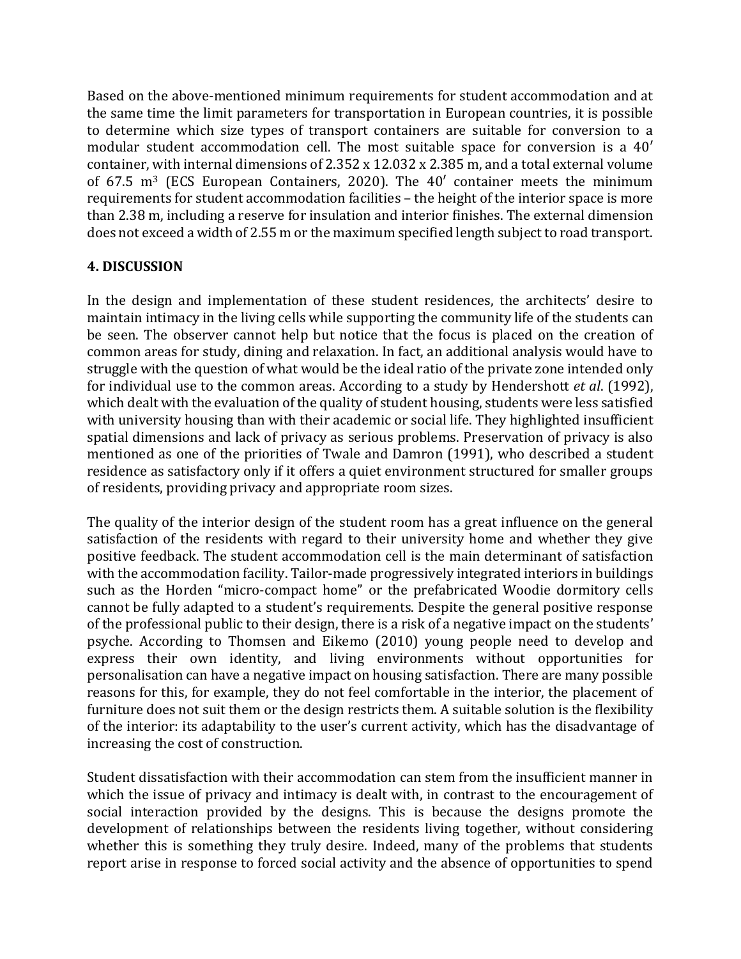Based on the above-mentioned minimum requirements for student accommodation and at the same time the limit parameters for transportation in European countries, it is possible to determine which size types of transport containers are suitable for conversion to a modular student accommodation cell. The most suitable space for conversion is a 40′ container, with internal dimensions of 2.352 x 12.032 x 2.385 m, and a total external volume of  $67.5$  m<sup>3</sup> (ECS European Containers, 2020). The  $40'$  container meets the minimum requirements for student accommodation facilities – the height of the interior space is more than 2.38 m, including a reserve for insulation and interior finishes. The external dimension does not exceed a width of 2.55 m or the maximum specified length subject to road transport.

## **4. DISCUSSION**

In the design and implementation of these student residences, the architects' desire to maintain intimacy in the living cells while supporting the community life of the students can be seen. The observer cannot help but notice that the focus is placed on the creation of common areas for study, dining and relaxation. In fact, an additional analysis would have to struggle with the question of what would be the ideal ratio of the private zone intended only for individual use to the common areas. According to a study by Hendershott *et al*. (1992), which dealt with the evaluation of the quality of student housing, students were less satisfied with university housing than with their academic or social life. They highlighted insufficient spatial dimensions and lack of privacy as serious problems. Preservation of privacy is also mentioned as one of the priorities of Twale and Damron (1991), who described a student residence as satisfactory only if it offers a quiet environment structured for smaller groups of residents, providing privacy and appropriate room sizes.

The quality of the interior design of the student room has a great influence on the general satisfaction of the residents with regard to their university home and whether they give positive feedback. The student accommodation cell is the main determinant of satisfaction with the accommodation facility. Tailor-made progressively integrated interiors in buildings such as the Horden "micro-compact home" or the prefabricated Woodie dormitory cells cannot be fully adapted to a student's requirements. Despite the general positive response of the professional public to their design, there is a risk of a negative impact on the students' psyche. According to Thomsen and Eikemo (2010) young people need to develop and express their own identity, and living environments without opportunities for personalisation can have a negative impact on housing satisfaction. There are many possible reasons for this, for example, they do not feel comfortable in the interior, the placement of furniture does not suit them or the design restricts them. A suitable solution is the flexibility of the interior: its adaptability to the user's current activity, which has the disadvantage of increasing the cost of construction.

Student dissatisfaction with their accommodation can stem from the insufficient manner in which the issue of privacy and intimacy is dealt with, in contrast to the encouragement of social interaction provided by the designs. This is because the designs promote the development of relationships between the residents living together, without considering whether this is something they truly desire. Indeed, many of the problems that students report arise in response to forced social activity and the absence of opportunities to spend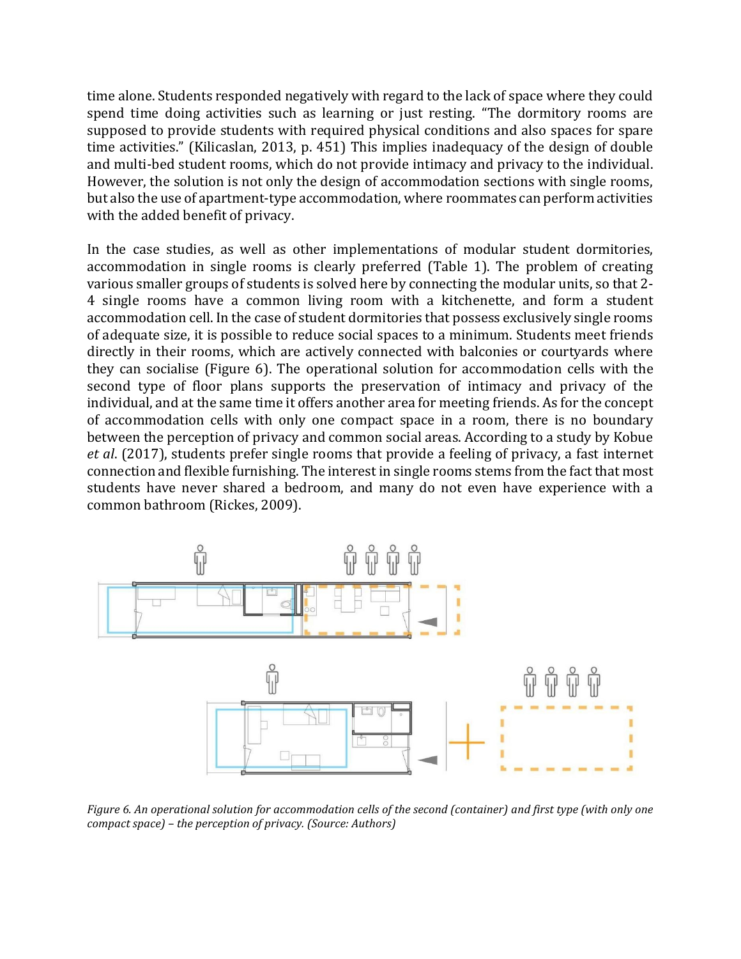time alone. Students responded negatively with regard to the lack of space where they could spend time doing activities such as learning or just resting. "The dormitory rooms are supposed to provide students with required physical conditions and also spaces for spare time activities." (Kilicaslan, 2013, p. 451) This implies inadequacy of the design of double and multi-bed student rooms, which do not provide intimacy and privacy to the individual. However, the solution is not only the design of accommodation sections with single rooms, but also the use of apartment-type accommodation, where roommates can perform activities with the added benefit of privacy.

In the case studies, as well as other implementations of modular student dormitories, accommodation in single rooms is clearly preferred (Table 1). The problem of creating various smaller groups of students is solved here by connecting the modular units, so that 2- 4 single rooms have a common living room with a kitchenette, and form a student accommodation cell. In the case of student dormitories that possess exclusively single rooms of adequate size, it is possible to reduce social spaces to a minimum. Students meet friends directly in their rooms, which are actively connected with balconies or courtyards where they can socialise (Figure 6). The operational solution for accommodation cells with the second type of floor plans supports the preservation of intimacy and privacy of the individual, and at the same time it offers another area for meeting friends. As for the concept of accommodation cells with only one compact space in a room, there is no boundary between the perception of privacy and common social areas. According to a study by Kobue *et al*. (2017), students prefer single rooms that provide a feeling of privacy, a fast internet connection and flexible furnishing. The interest in single rooms stems from the fact that most students have never shared a bedroom, and many do not even have experience with a common bathroom (Rickes, 2009).



*Figure 6. An operational solution for accommodation cells of the second (container) and first type (with only one compact space) – the perception of privacy. (Source: Authors)*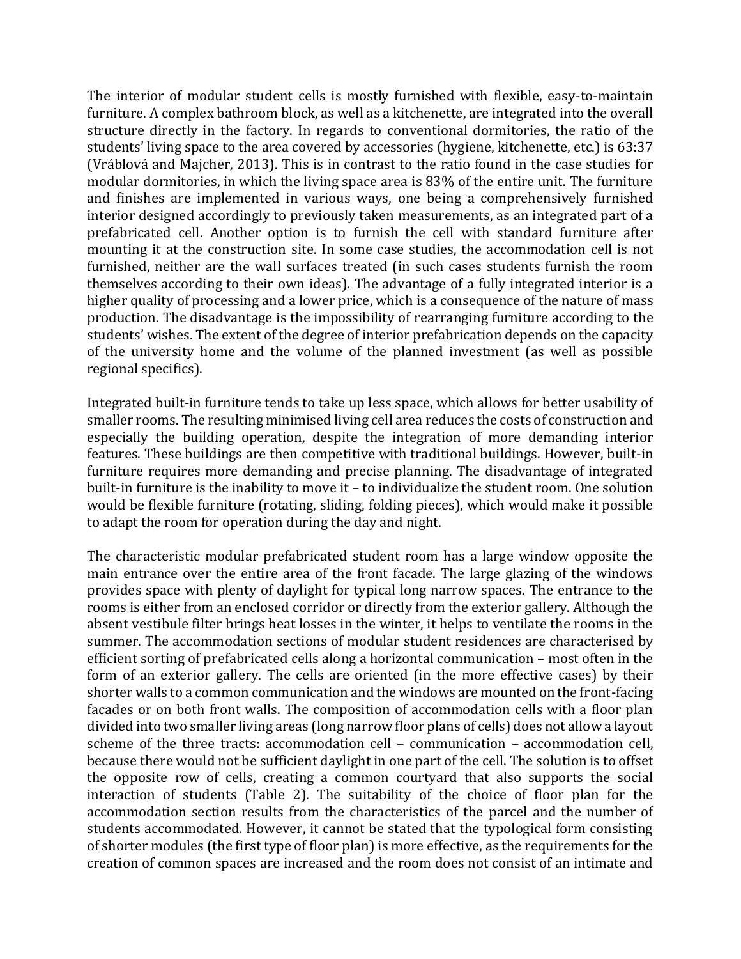The interior of modular student cells is mostly furnished with flexible, easy-to-maintain furniture. A complex bathroom block, as well as a kitchenette, are integrated into the overall structure directly in the factory. In regards to conventional dormitories, the ratio of the students' living space to the area covered by accessories (hygiene, kitchenette, etc.) is 63:37 (Vráblová and Majcher, 2013). This is in contrast to the ratio found in the case studies for modular dormitories, in which the living space area is 83% of the entire unit. The furniture and finishes are implemented in various ways, one being a comprehensively furnished interior designed accordingly to previously taken measurements, as an integrated part of a prefabricated cell. Another option is to furnish the cell with standard furniture after mounting it at the construction site. In some case studies, the accommodation cell is not furnished, neither are the wall surfaces treated (in such cases students furnish the room themselves according to their own ideas). The advantage of a fully integrated interior is a higher quality of processing and a lower price, which is a consequence of the nature of mass production. The disadvantage is the impossibility of rearranging furniture according to the students' wishes. The extent of the degree of interior prefabrication depends on the capacity of the university home and the volume of the planned investment (as well as possible regional specifics).

Integrated built-in furniture tends to take up less space, which allows for better usability of smaller rooms. The resulting minimised living cell area reduces the costs of construction and especially the building operation, despite the integration of more demanding interior features. These buildings are then competitive with traditional buildings. However, built-in furniture requires more demanding and precise planning. The disadvantage of integrated built-in furniture is the inability to move it – to individualize the student room. One solution would be flexible furniture (rotating, sliding, folding pieces), which would make it possible to adapt the room for operation during the day and night.

The characteristic modular prefabricated student room has a large window opposite the main entrance over the entire area of the front facade. The large glazing of the windows provides space with plenty of daylight for typical long narrow spaces. The entrance to the rooms is either from an enclosed corridor or directly from the exterior gallery. Although the absent vestibule filter brings heat losses in the winter, it helps to ventilate the rooms in the summer. The accommodation sections of modular student residences are characterised by efficient sorting of prefabricated cells along a horizontal communication – most often in the form of an exterior gallery. The cells are oriented (in the more effective cases) by their shorter walls to a common communication and the windows are mounted on the front-facing facades or on both front walls. The composition of accommodation cells with a floor plan divided into two smaller living areas (long narrow floor plans of cells) does not allow a layout scheme of the three tracts: accommodation cell – communication – accommodation cell, because there would not be sufficient daylight in one part of the cell. The solution is to offset the opposite row of cells, creating a common courtyard that also supports the social interaction of students (Table 2). The suitability of the choice of floor plan for the accommodation section results from the characteristics of the parcel and the number of students accommodated. However, it cannot be stated that the typological form consisting of shorter modules (the first type of floor plan) is more effective, as the requirements for the creation of common spaces are increased and the room does not consist of an intimate and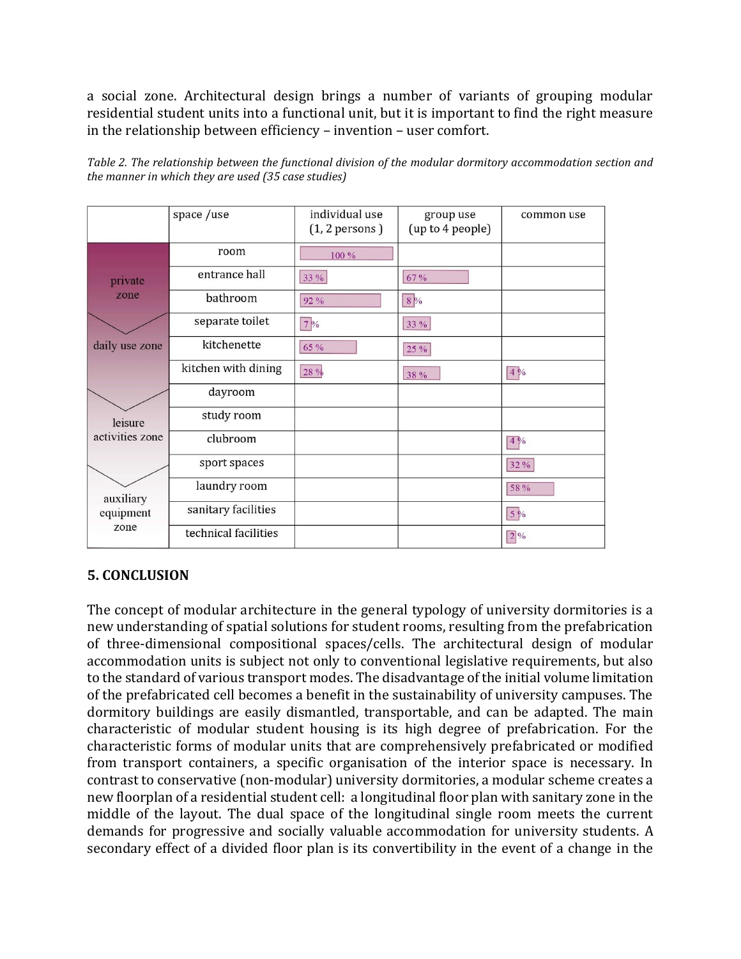a social zone. Architectural design brings a number of variants of grouping modular residential student units into a functional unit, but it is important to find the right measure in the relationship between efficiency – invention – user comfort.

| Table 2. The relationship between the functional division of the modular dormitory accommodation section and |  |  |
|--------------------------------------------------------------------------------------------------------------|--|--|
| the manner in which they are used (35 case studies)                                                          |  |  |

|                        | space /use           | individual use<br>$(1, 2$ persons $)$ | group use<br>(up to 4 people) | common use    |
|------------------------|----------------------|---------------------------------------|-------------------------------|---------------|
|                        | room                 | 100 %                                 |                               |               |
| private                | entrance hall        | 33 %                                  | 67 %                          |               |
| zone                   | bathroom             | 92 %                                  | 8%                            |               |
|                        | separate toilet      | $7\%$                                 | 33 %                          |               |
| daily use zone         | kitchenette          | 65 %                                  | 25 %                          |               |
|                        | kitchen with dining  | 28 %                                  | 38 %                          | $\sqrt{4}$    |
|                        | dayroom              |                                       |                               |               |
| leisure                | study room           |                                       |                               |               |
| activities zone        | clubroom             |                                       |                               | 4%            |
|                        | sport spaces         |                                       |                               | 32%           |
| auxiliary<br>equipment | laundry room         |                                       |                               | 58 %          |
|                        | sanitary facilities  |                                       |                               | 5%            |
| zone                   | technical facilities |                                       |                               | $\boxed{2}$ % |

# **5. CONCLUSION**

The concept of modular architecture in the general typology of university dormitories is a new understanding of spatial solutions for student rooms, resulting from the prefabrication of three-dimensional compositional spaces/cells. The architectural design of modular accommodation units is subject not only to conventional legislative requirements, but also to the standard of various transport modes. The disadvantage of the initial volume limitation of the prefabricated cell becomes a benefit in the sustainability of university campuses. The dormitory buildings are easily dismantled, transportable, and can be adapted. The main characteristic of modular student housing is its high degree of prefabrication. For the characteristic forms of modular units that are comprehensively prefabricated or modified from transport containers, a specific organisation of the interior space is necessary. In contrast to conservative (non-modular) university dormitories, a modular scheme creates a new floorplan of a residential student cell: a longitudinal floor plan with sanitary zone in the middle of the layout. The dual space of the longitudinal single room meets the current demands for progressive and socially valuable accommodation for university students. A secondary effect of a divided floor plan is its convertibility in the event of a change in the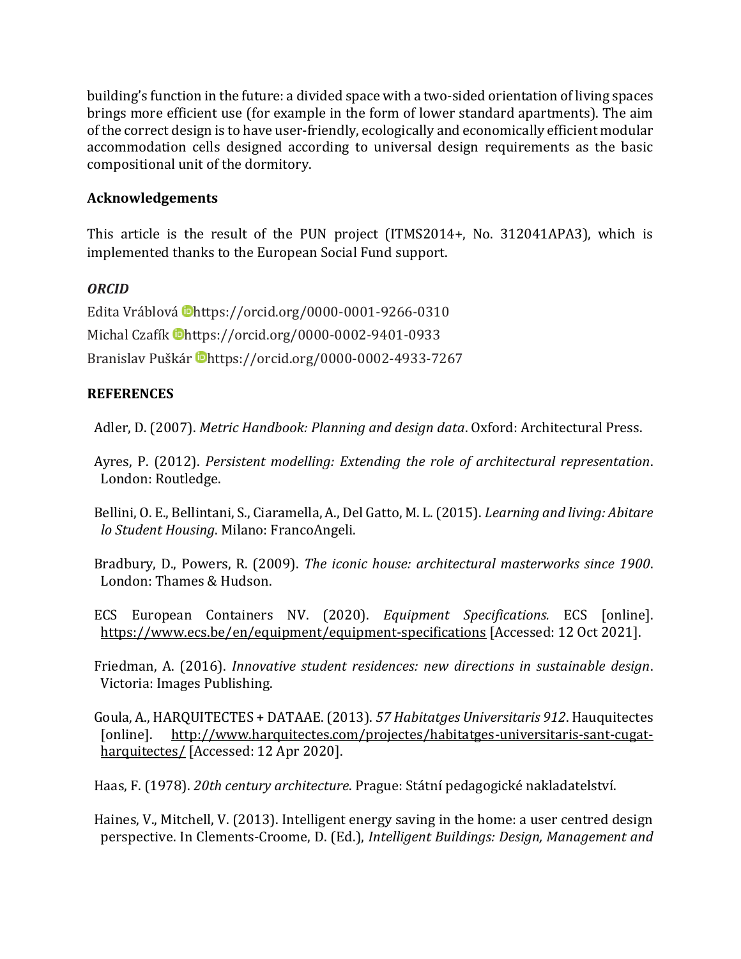building's function in the future: a divided space with a two-sided orientation of living spaces brings more efficient use (for example in the form of lower standard apartments). The aim of the correct design is to have user-friendly, ecologically and economically efficient modular accommodation cells designed according to universal design requirements as the basic compositional unit of the dormitory.

## **Acknowledgements**

This article is the result of the PUN project (ITMS2014+, No. 312041APA3), which is implemented thanks to the European Social Fund support.

## *ORCID*

Edita Vráblová Dhttps://orcid.org/0000-0001-9266-0310 Michal Czafík Dhttps://orcid.org/0000-0002-9401-0933 Branislav Puškár Chttps://orcid.org/0000-0002-4933-7267

## **REFERENCES**

Adler, D. (2007). *Metric Handbook: Planning and design data*. Oxford: Architectural Press.

Ayres, P. (2012). *Persistent modelling: Extending the role of architectural representation*. London: Routledge.

Bellini, O. E., Bellintani, S., Ciaramella, A., Del Gatto, M. L. (2015). *Learning and living: Abitare lo Student Housing*. Milano: FrancoAngeli.

Bradbury, D., Powers, R. (2009). *The iconic house: architectural masterworks since 1900*. London: Thames & Hudson.

ECS European Containers NV. (2020). *Equipment Specifications.* ECS [online]. <https://www.ecs.be/en/equipment/equipment-specifications> [Accessed: 12 Oct 2021].

Friedman, A. (2016). *Innovative student residences: new directions in sustainable design*. Victoria: Images Publishing.

Goula, A., HARQUITECTES + DATAAE. (2013). *57 Habitatges Universitaris 912*. Hauquitectes [online]. [http://www.harquitectes.com/projectes/habitatges-universitaris-sant-cugat](http://www.harquitectes.com/projectes/habitatges-universitaris-sant-cugat-harquitectes/)[harquitectes/](http://www.harquitectes.com/projectes/habitatges-universitaris-sant-cugat-harquitectes/) [Accessed: 12 Apr 2020].

Haas, F. (1978). *20th century architecture*. Prague: Státní pedagogické nakladatelství.

Haines, V., Mitchell, V. (2013). Intelligent energy saving in the home: a user centred design perspective. In Clements-Croome, D. (Ed.), *Intelligent Buildings: Design, Management and*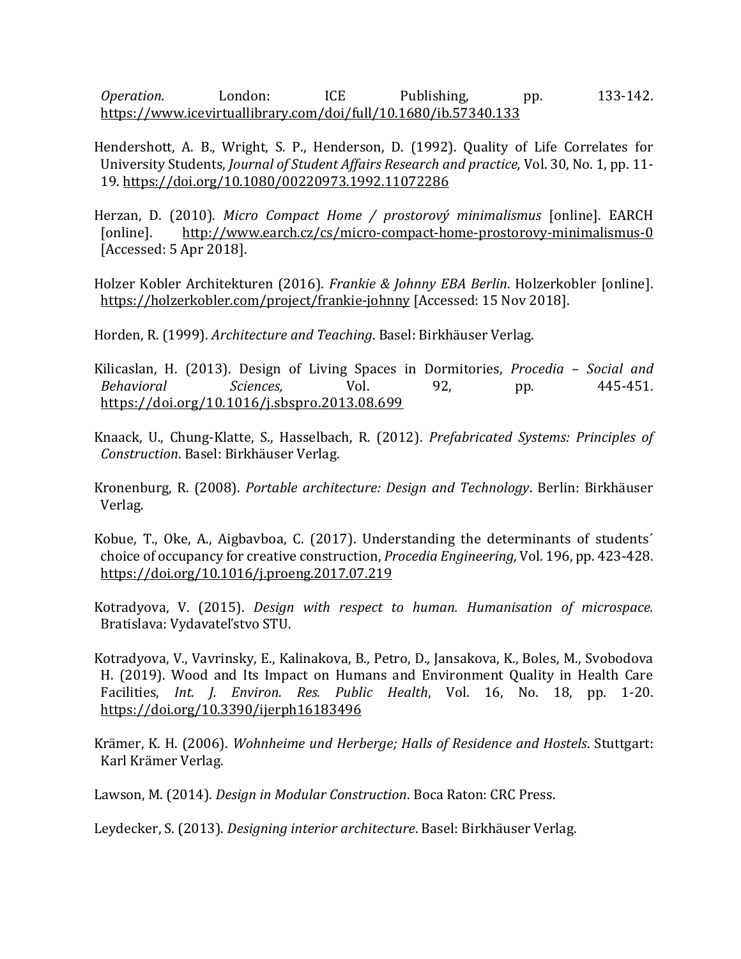*Operation.* London: ICE Publishing, pp. 133-142. <https://www.icevirtuallibrary.com/doi/full/10.1680/ib.57340.133>

- Hendershott, A. B., Wright, S. P., Henderson, D. (1992). Quality of Life Correlates for University Students, *Journal of Student Affairs Research and practice,* Vol. 30, No. 1, pp. 11- 19.<https://doi.org/10.1080/00220973.1992.11072286>
- Herzan, [D.](http://www.earch.cz/cs/dominik-herzan) (2010). *Micro Compact Home / prostorový minimalismus* [online]. EARCH [online]. <http://www.earch.cz/cs/micro-compact-home-prostorovy-minimalismus-0> [Accessed: 5 Apr 2018].
- Holzer Kobler Architekturen (2016). *Frankie & Johnny EBA Berlin*. Holzerkobler [online]. <https://holzerkobler.com/project/frankie-johnny> [Accessed: 15 Nov 2018].

Horden, R. (1999). *Architecture and Teaching*. Basel: Birkhäuser Verlag.

- Kilicaslan, H. (2013). Design of Living Spaces in Dormitories, *Procedia – Social and Behavioral Sciences,* Vol. 92, pp. 445-451. <https://doi.org/10.1016/j.sbspro.2013.08.699>
- Knaack, U., Chung-Klatte, S., Hasselbach, R. (2012). *Prefabricated Systems: Principles of Construction*. Basel: Birkhäuser Verlag.
- Kronenburg, R. (2008). *Portable architecture: Design and Technology*. Berlin: Birkhäuser Verlag.
- Kobue, T., Oke, A., Aigbavboa, C. (2017). Understanding the determinants of students´ choice of occupancy for creative construction, *Procedia Engineering,* Vol. 196, pp. 423-428. <https://doi.org/10.1016/j.proeng.2017.07.219>
- Kotradyova, V. (2015). *Design with respect to human. Humanisation of microspace.* Bratislava: Vydavateľstvo STU.
- Kotradyova, V., Vavrinsky, E., Kalinakova, B., Petro, D., Jansakova, K., Boles, M., Svobodova H. (2019). Wood and Its Impact on Humans and Environment Quality in Health Care Facilities, *Int. J. Environ. Res. Public Health*, Vol. 16, No. 18, pp. 1-20. <https://doi.org/10.3390/ijerph16183496>
- Krämer, K. H. (2006). *Wohnheime und Herberge; Halls of Residence and Hostels*. Stuttgart: Karl Krämer Verlag.
- Lawson, M. (2014). *Design in Modular Construction*. Boca Raton: CRC Press.

Leydecker, S. (2013). *Designing interior architecture*. Basel: Birkhäuser Verlag.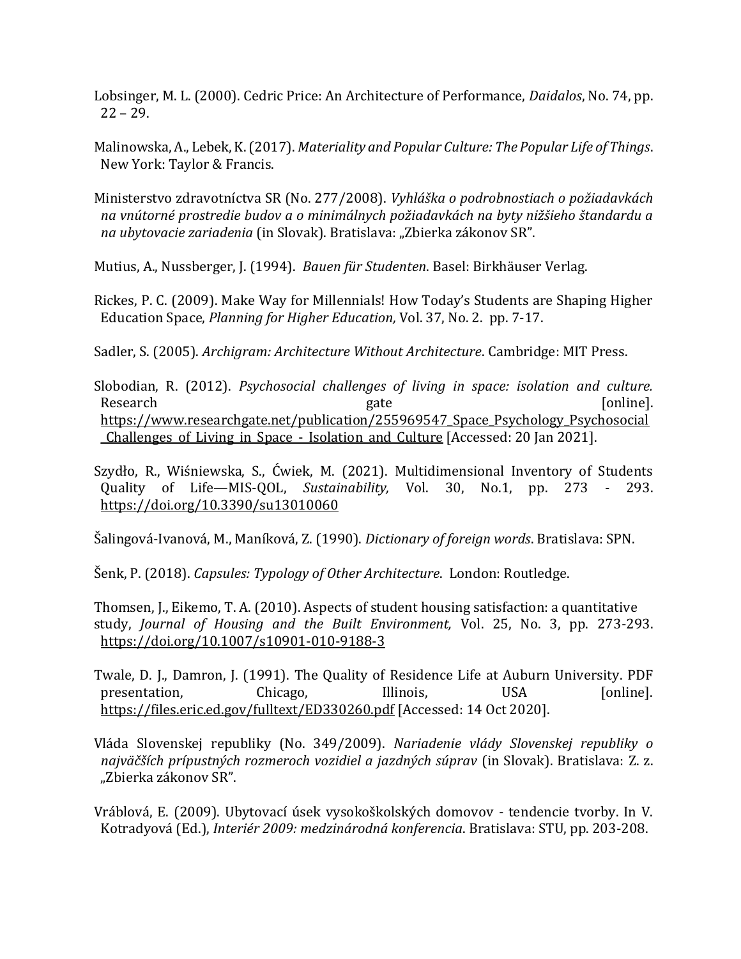Lobsinger, M. L. (2000). Cedric Price: An Architecture of Performance, *Daidalos*, No. 74, pp. 22 – 29.

Malinowska, A., Lebek, K. (2017). *Materiality and Popular Culture: The Popular Life of Things*. New York: Taylor & Francis.

Ministerstvo zdravotníctva SR (No. 277/2008). *Vyhláška o podrobnostiach o požiadavkách na vnútorné prostredie budov a o minimálnych požiadavkách na byty nižšieho štandardu a na ubytovacie zariadenia* (in Slovak). Bratislava: "Zbierka zákonov SR".

Mutius, A., Nussberger, J. (1994). *Bauen für Studenten*. Basel: Birkhäuser Verlag.

Rickes, P. C. (2009). Make Way for Millennials! How Today's Students are Shaping Higher Education Space, *Planning for Higher Education,* Vol. 37, No. 2. pp. 7-17.

Sadler, S. (2005). *Archigram: Architecture Without Architecture*. Cambridge: MIT Press.

Slobodian, R. (2012). *Psychosocial challenges of living in space: isolation and culture.* Research gate gate [online]. [https://www.researchgate.net/publication/255969547\\_Space\\_Psychology\\_Psychosocial](https://www.researchgate.net/publication/255969547_Space_Psychology_Psychosocial_Challenges_of_Living_in_Space_-_Isolation_and_Culture) [\\_Challenges\\_of\\_Living\\_in\\_Space\\_-\\_Isolation\\_and\\_Culture](https://www.researchgate.net/publication/255969547_Space_Psychology_Psychosocial_Challenges_of_Living_in_Space_-_Isolation_and_Culture) [Accessed: 20 Jan 2021].

Szydło, R., Wiśniewska, S., Ćwiek, M. (2021). Multidimensional Inventory of Students Quality of Life—MIS-QOL, *Sustainability,* Vol. 30, No.1, pp. 273 - 293. <https://doi.org/10.3390/su13010060>

Šalingová-Ivanová, M., Maníková, Z. (1990). *Dictionary of foreign words*. Bratislava: SPN.

Šenk, P. (2018). *Capsules: Typology of Other Architecture*. London: Routledge.

Thomsen, J., Eikemo, T. A. (2010). Aspects of student housing satisfaction: a quantitative study, *Journal of Housing and the Built Environment,* Vol. 25, No. 3, pp. 273-293. <https://doi.org/10.1007/s10901-010-9188-3>

Twale, D. J., Damron, J. (1991). The Quality of Residence Life at Auburn University. PDF presentation, Chicago, Illinois, USA [online]. <https://files.eric.ed.gov/fulltext/ED330260.pdf> [Accessed: 14 Oct 2020].

Vláda Slovenskej republiky (No. 349/2009). *Nariadenie vlády Slovenskej republiky o najväčších prípustných rozmeroch vozidiel a jazdných súprav* (in Slovak). Bratislava: Z. z. "Zbierka zákonov SR".

Vráblová, E. (2009). Ubytovací úsek vysokoškolských domovov - tendencie tvorby. In V. Kotradyová (Ed.), *Interiér 2009: medzinárodná konferencia*. Bratislava: STU, pp. 203-208.